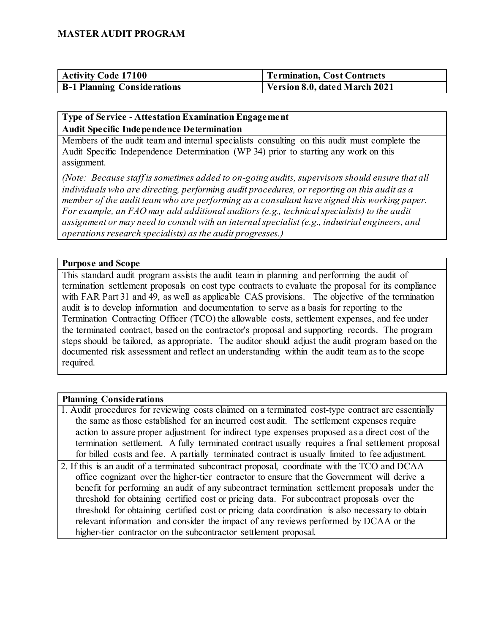| <b>Activity Code 17100</b>         | Termination, Cost Contracts   |
|------------------------------------|-------------------------------|
| <b>B-1 Planning Considerations</b> | Version 8.0, dated March 2021 |

#### **Type of Service - Attestation Examination Engagement Audit Specific Independence Determination**

Members of the audit team and internal specialists consulting on this audit must complete the Audit Specific Independence Determination (WP 34) prior to starting any work on this assignment.

*(Note: Because staff is sometimes added to on-going audits, supervisors should ensure that all individuals who are directing, performing audit procedures, or reporting on this audit as a member of the audit team who are performing as a consultant have signed this working paper. For example, an FAO may add additional auditors (e.g., technical specialists) to the audit assignment or may need to consult with an internal specialist (e.g., industrial engineers, and operations research specialists) as the audit progresses.)*

#### **Purpose and Scope**

This standard audit program assists the audit team in planning and performing the audit of termination settlement proposals on cost type contracts to evaluate the proposal for its compliance with FAR Part 31 and 49, as well as applicable CAS provisions. The objective of the termination audit is to develop information and documentation to serve as a basis for reporting to the Termination Contracting Officer (TCO) the allowable costs, settlement expenses, and fee under the terminated contract, based on the contractor's proposal and supporting records. The program steps should be tailored, as appropriate. The auditor should adjust the audit program based on the documented risk assessment and reflect an understanding within the audit team as to the scope required.

#### **Planning Considerations**

- 1. Audit procedures for reviewing costs claimed on a terminated cost-type contract are essentially the same as those established for an incurred cost audit. The settlement expenses require action to assure proper adjustment for indirect type expenses proposed as a direct cost of the termination settlement. A fully terminated contract usually requires a final settlement proposal for billed costs and fee. A partially terminated contract is usually limited to fee adjustment.
- 2. If this is an audit of a terminated subcontract proposal, coordinate with the TCO and DCAA office cognizant over the higher-tier contractor to ensure that the Government will derive a benefit for performing an audit of any subcontract termination settlement proposals under the threshold for obtaining certified cost or pricing data. For subcontract proposals over the threshold for obtaining certified cost or pricing data coordination is also necessary to obtain relevant information and consider the impact of any reviews performed by DCAA or the higher-tier contractor on the subcontractor settlement proposal.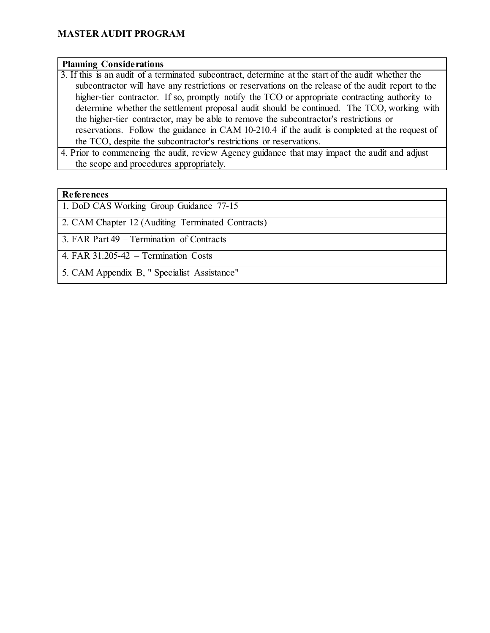#### **Planning Considerations**

- 3. If this is an audit of a terminated subcontract, determine at the start of the audit whether the subcontractor will have any restrictions or reservations on the release of the audit report to the higher-tier contractor. If so, promptly notify the TCO or appropriate contracting authority to determine whether the settlement proposal audit should be continued. The TCO, working with the higher-tier contractor, may be able to remove the subcontractor's restrictions or reservations. Follow the guidance in CAM 10-210.4 if the audit is completed at the request of the TCO, despite the subcontractor's restrictions or reservations.
- 4. Prior to commencing the audit, review Agency guidance that may impact the audit and adjust the scope and procedures appropriately.

#### **References**

1. DoD CAS Working Group Guidance 77-15

2. CAM Chapter 12 (Auditing Terminated Contracts)

3. FAR Part 49 – Termination of Contracts

4. FAR 31.205-42 – Termination Costs

5. CAM Appendix B, " Specialist Assistance"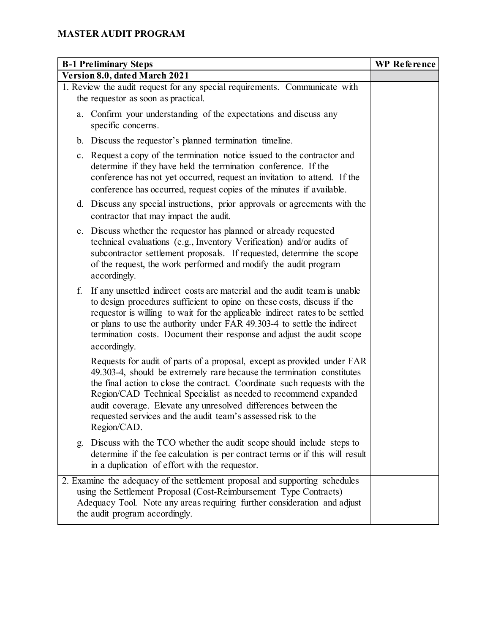| <b>B-1 Preliminary Steps</b>                                                                                                                                                                                                                                                                                                                                                                                                                       | <b>WP</b> Reference |
|----------------------------------------------------------------------------------------------------------------------------------------------------------------------------------------------------------------------------------------------------------------------------------------------------------------------------------------------------------------------------------------------------------------------------------------------------|---------------------|
| Version 8.0, dated March 2021                                                                                                                                                                                                                                                                                                                                                                                                                      |                     |
| 1. Review the audit request for any special requirements. Communicate with<br>the requestor as soon as practical.                                                                                                                                                                                                                                                                                                                                  |                     |
| a. Confirm your understanding of the expectations and discuss any<br>specific concerns.                                                                                                                                                                                                                                                                                                                                                            |                     |
| b. Discuss the requestor's planned termination timeline.                                                                                                                                                                                                                                                                                                                                                                                           |                     |
| c. Request a copy of the termination notice issued to the contractor and<br>determine if they have held the termination conference. If the<br>conference has not yet occurred, request an invitation to attend. If the<br>conference has occurred, request copies of the minutes if available.                                                                                                                                                     |                     |
| d. Discuss any special instructions, prior approvals or agreements with the<br>contractor that may impact the audit.                                                                                                                                                                                                                                                                                                                               |                     |
| e. Discuss whether the requestor has planned or already requested<br>technical evaluations (e.g., Inventory Verification) and/or audits of<br>subcontractor settlement proposals. If requested, determine the scope<br>of the request, the work performed and modify the audit program<br>accordingly.                                                                                                                                             |                     |
| f.<br>If any unsettled indirect costs are material and the audit team is unable<br>to design procedures sufficient to opine on these costs, discuss if the<br>requestor is willing to wait for the applicable indirect rates to be settled<br>or plans to use the authority under FAR 49.303-4 to settle the indirect<br>termination costs. Document their response and adjust the audit scope<br>accordingly.                                     |                     |
| Requests for audit of parts of a proposal, except as provided under FAR<br>49.303-4, should be extremely rare because the termination constitutes<br>the final action to close the contract. Coordinate such requests with the<br>Region/CAD Technical Specialist as needed to recommend expanded<br>audit coverage. Elevate any unresolved differences between the<br>requested services and the audit team's assessed risk to the<br>Region/CAD. |                     |
| Discuss with the TCO whether the audit scope should include steps to<br>g.<br>determine if the fee calculation is per contract terms or if this will result<br>in a duplication of effort with the requestor.                                                                                                                                                                                                                                      |                     |
| 2. Examine the adequacy of the settlement proposal and supporting schedules<br>using the Settlement Proposal (Cost-Reimbursement Type Contracts)<br>Adequacy Tool. Note any areas requiring further consideration and adjust<br>the audit program accordingly.                                                                                                                                                                                     |                     |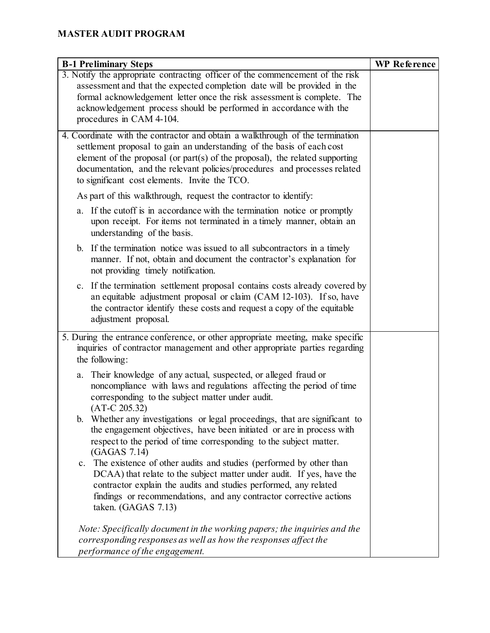| <b>B-1 Preliminary Steps</b>                                                                                                                                                                                                                                                                                                                                          | <b>WP</b> Reference |
|-----------------------------------------------------------------------------------------------------------------------------------------------------------------------------------------------------------------------------------------------------------------------------------------------------------------------------------------------------------------------|---------------------|
| 3. Notify the appropriate contracting officer of the commencement of the risk                                                                                                                                                                                                                                                                                         |                     |
| assessment and that the expected completion date will be provided in the                                                                                                                                                                                                                                                                                              |                     |
| formal acknowledgement letter once the risk assessment is complete. The                                                                                                                                                                                                                                                                                               |                     |
| acknowledgement process should be performed in accordance with the                                                                                                                                                                                                                                                                                                    |                     |
| procedures in CAM 4-104.                                                                                                                                                                                                                                                                                                                                              |                     |
| 4. Coordinate with the contractor and obtain a walkthrough of the termination<br>settlement proposal to gain an understanding of the basis of each cost<br>element of the proposal (or part(s) of the proposal), the related supporting<br>documentation, and the relevant policies/procedures and processes related<br>to significant cost elements. Invite the TCO. |                     |
| As part of this walkthrough, request the contractor to identify:                                                                                                                                                                                                                                                                                                      |                     |
| a. If the cutoff is in accordance with the termination notice or promptly<br>upon receipt. For items not terminated in a timely manner, obtain an<br>understanding of the basis.                                                                                                                                                                                      |                     |
| b. If the termination notice was issued to all subcontractors in a timely<br>manner. If not, obtain and document the contractor's explanation for<br>not providing timely notification.                                                                                                                                                                               |                     |
| c. If the termination settlement proposal contains costs already covered by<br>an equitable adjustment proposal or claim (CAM 12-103). If so, have<br>the contractor identify these costs and request a copy of the equitable<br>adjustment proposal.                                                                                                                 |                     |
| 5. During the entrance conference, or other appropriate meeting, make specific                                                                                                                                                                                                                                                                                        |                     |
| inquiries of contractor management and other appropriate parties regarding                                                                                                                                                                                                                                                                                            |                     |
| the following:                                                                                                                                                                                                                                                                                                                                                        |                     |
| Their knowledge of any actual, suspected, or alleged fraud or<br>a.<br>noncompliance with laws and regulations affecting the period of time<br>corresponding to the subject matter under audit.<br>$(AT-C 205.32)$                                                                                                                                                    |                     |
| Whether any investigations or legal proceedings, that are significant to<br>b.<br>the engagement objectives, have been initiated or are in process with<br>respect to the period of time corresponding to the subject matter.<br>(GAGAS 7.14)                                                                                                                         |                     |
| c. The existence of other audits and studies (performed by other than<br>DCAA) that relate to the subject matter under audit. If yes, have the<br>contractor explain the audits and studies performed, any related<br>findings or recommendations, and any contractor corrective actions<br>taken. (GAGAS 7.13)                                                       |                     |
| Note: Specifically document in the working papers; the inquiries and the<br>corresponding responses as well as how the responses affect the<br>performance of the engagement.                                                                                                                                                                                         |                     |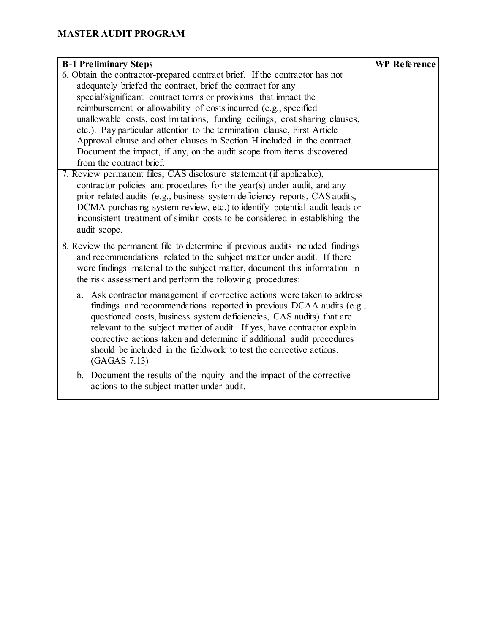| <b>B-1 Preliminary Steps</b>                                                   | <b>WP</b> Reference |
|--------------------------------------------------------------------------------|---------------------|
| 6. Obtain the contractor-prepared contract brief. If the contractor has not    |                     |
| adequately briefed the contract, brief the contract for any                    |                     |
| special/significant contract terms or provisions that impact the               |                     |
| reimbursement or allowability of costs incurred (e.g., specified               |                     |
| unallowable costs, cost limitations, funding ceilings, cost sharing clauses,   |                     |
| etc.). Pay particular attention to the termination clause, First Article       |                     |
| Approval clause and other clauses in Section H included in the contract.       |                     |
| Document the impact, if any, on the audit scope from items discovered          |                     |
| from the contract brief.                                                       |                     |
| 7. Review permanent files, CAS disclosure statement (if applicable),           |                     |
| contractor policies and procedures for the year(s) under audit, and any        |                     |
| prior related audits (e.g., business system deficiency reports, CAS audits,    |                     |
| DCMA purchasing system review, etc.) to identify potential audit leads or      |                     |
| inconsistent treatment of similar costs to be considered in establishing the   |                     |
| audit scope.                                                                   |                     |
| 8. Review the permanent file to determine if previous audits included findings |                     |
| and recommendations related to the subject matter under audit. If there        |                     |
| were findings material to the subject matter, document this information in     |                     |
| the risk assessment and perform the following procedures:                      |                     |
| a. Ask contractor management if corrective actions were taken to address       |                     |
| findings and recommendations reported in previous DCAA audits (e.g.,           |                     |
| questioned costs, business system deficiencies, CAS audits) that are           |                     |
| relevant to the subject matter of audit. If yes, have contractor explain       |                     |
| corrective actions taken and determine if additional audit procedures          |                     |
| should be included in the fieldwork to test the corrective actions.            |                     |
| (GAGAS 7.13)                                                                   |                     |
| b. Document the results of the inquiry and the impact of the corrective        |                     |
| actions to the subject matter under audit.                                     |                     |
|                                                                                |                     |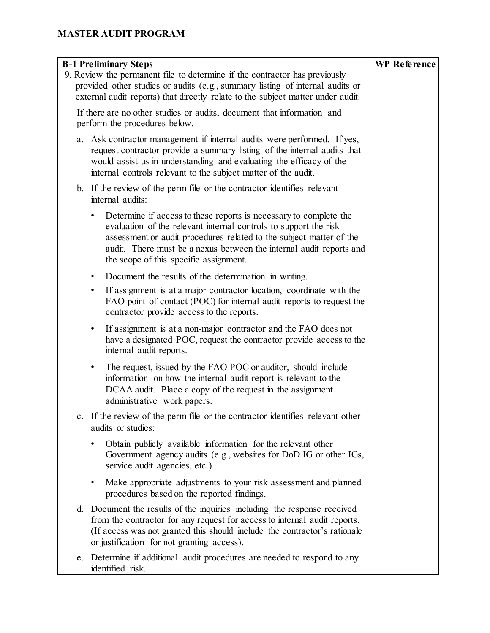| <b>B-1 Preliminary Steps</b>                                                                                                                                                                                                                                                                                                  | <b>WP</b> Reference |
|-------------------------------------------------------------------------------------------------------------------------------------------------------------------------------------------------------------------------------------------------------------------------------------------------------------------------------|---------------------|
| 9. Review the permanent file to determine if the contractor has previously<br>provided other studies or audits (e.g., summary listing of internal audits or<br>external audit reports) that directly relate to the subject matter under audit.                                                                                |                     |
| If there are no other studies or audits, document that information and<br>perform the procedures below.                                                                                                                                                                                                                       |                     |
| a. Ask contractor management if internal audits were performed. If yes,<br>request contractor provide a summary listing of the internal audits that<br>would assist us in understanding and evaluating the efficacy of the<br>internal controls relevant to the subject matter of the audit.                                  |                     |
| b. If the review of the perm file or the contractor identifies relevant<br>internal audits:                                                                                                                                                                                                                                   |                     |
| Determine if access to these reports is necessary to complete the<br>evaluation of the relevant internal controls to support the risk<br>assessment or audit procedures related to the subject matter of the<br>audit. There must be a nexus between the internal audit reports and<br>the scope of this specific assignment. |                     |
| Document the results of the determination in writing.<br>٠                                                                                                                                                                                                                                                                    |                     |
| If assignment is at a major contractor location, coordinate with the<br>$\bullet$<br>FAO point of contact (POC) for internal audit reports to request the<br>contractor provide access to the reports.                                                                                                                        |                     |
| If assignment is at a non-major contractor and the FAO does not<br>$\bullet$<br>have a designated POC, request the contractor provide access to the<br>internal audit reports.                                                                                                                                                |                     |
| The request, issued by the FAO POC or auditor, should include<br>٠<br>information on how the internal audit report is relevant to the<br>DCAA audit. Place a copy of the request in the assignment<br>administrative work papers.                                                                                             |                     |
| If the review of the perm file or the contractor identifies relevant other<br>audits or studies:                                                                                                                                                                                                                              |                     |
| Obtain publicly available information for the relevant other<br>Government agency audits (e.g., websites for DoD IG or other IGs,<br>service audit agencies, etc.).                                                                                                                                                           |                     |
| Make appropriate adjustments to your risk assessment and planned<br>$\bullet$<br>procedures based on the reported findings.                                                                                                                                                                                                   |                     |
| d. Document the results of the inquiries including the response received<br>from the contractor for any request for access to internal audit reports.<br>(If access was not granted this should include the contractor's rationale<br>or justification for not granting access).                                              |                     |
| Determine if additional audit procedures are needed to respond to any<br>e.<br>identified risk.                                                                                                                                                                                                                               |                     |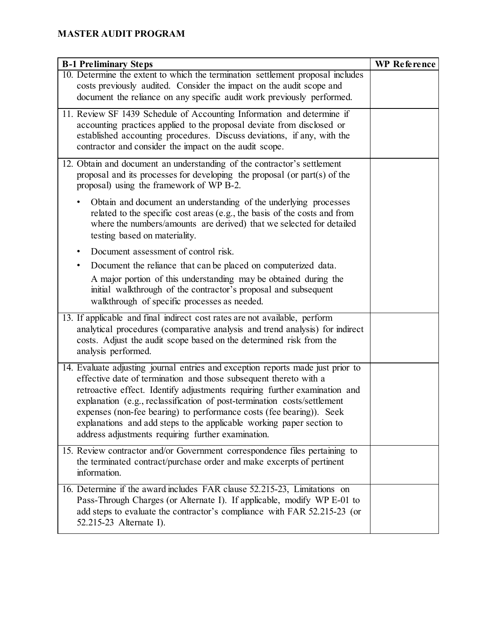| <b>B-1 Preliminary Steps</b>                                                                                                | <b>WP</b> Reference |
|-----------------------------------------------------------------------------------------------------------------------------|---------------------|
| 10. Determine the extent to which the termination settlement proposal includes                                              |                     |
| costs previously audited. Consider the impact on the audit scope and                                                        |                     |
| document the reliance on any specific audit work previously performed.                                                      |                     |
| 11. Review SF 1439 Schedule of Accounting Information and determine if                                                      |                     |
| accounting practices applied to the proposal deviate from disclosed or                                                      |                     |
| established accounting procedures. Discuss deviations, if any, with the                                                     |                     |
| contractor and consider the impact on the audit scope.                                                                      |                     |
| 12. Obtain and document an understanding of the contractor's settlement                                                     |                     |
| proposal and its processes for developing the proposal (or part(s) of the                                                   |                     |
| proposal) using the framework of WP B-2.                                                                                    |                     |
| Obtain and document an understanding of the underlying processes                                                            |                     |
| related to the specific cost areas (e.g., the basis of the costs and from                                                   |                     |
| where the numbers/amounts are derived) that we selected for detailed                                                        |                     |
| testing based on materiality.                                                                                               |                     |
| Document assessment of control risk.<br>٠                                                                                   |                     |
| Document the reliance that can be placed on computerized data.<br>٠                                                         |                     |
| A major portion of this understanding may be obtained during the                                                            |                     |
| initial walkthrough of the contractor's proposal and subsequent                                                             |                     |
| walkthrough of specific processes as needed.                                                                                |                     |
| 13. If applicable and final indirect cost rates are not available, perform                                                  |                     |
| analytical procedures (comparative analysis and trend analysis) for indirect                                                |                     |
| costs. Adjust the audit scope based on the determined risk from the                                                         |                     |
| analysis performed.                                                                                                         |                     |
| 14. Evaluate adjusting journal entries and exception reports made just prior to                                             |                     |
| effective date of termination and those subsequent thereto with a                                                           |                     |
| retroactive effect. Identify adjustments requiring further examination and                                                  |                     |
| explanation (e.g., reclassification of post-termination costs/settlement                                                    |                     |
| expenses (non-fee bearing) to performance costs (fee bearing)). Seek                                                        |                     |
| explanations and add steps to the applicable working paper section to<br>address adjustments requiring further examination. |                     |
|                                                                                                                             |                     |
| 15. Review contractor and/or Government correspondence files pertaining to                                                  |                     |
| the terminated contract/purchase order and make excerpts of pertinent<br>information.                                       |                     |
|                                                                                                                             |                     |
| 16. Determine if the award includes FAR clause 52.215-23, Limitations on                                                    |                     |
| Pass-Through Charges (or Alternate I). If applicable, modify WP E-01 to                                                     |                     |
| add steps to evaluate the contractor's compliance with FAR 52.215-23 (or                                                    |                     |
| 52.215-23 Alternate I).                                                                                                     |                     |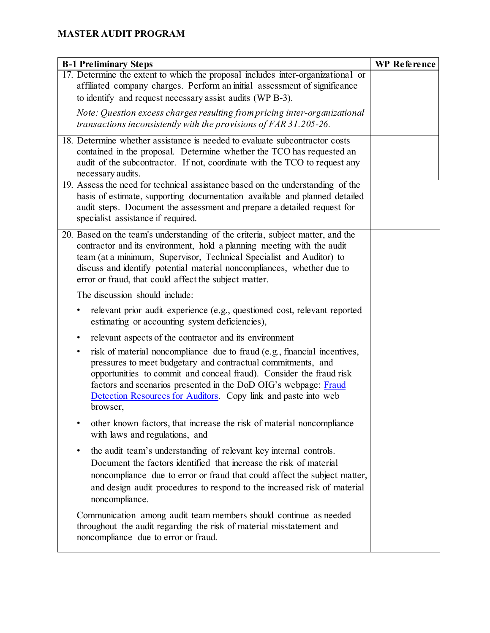| <b>B-1 Preliminary Steps</b>                                                                                                                                                                                                                                                                                                                                          | <b>WP</b> Reference |
|-----------------------------------------------------------------------------------------------------------------------------------------------------------------------------------------------------------------------------------------------------------------------------------------------------------------------------------------------------------------------|---------------------|
| 17. Determine the extent to which the proposal includes inter-organizational or<br>affiliated company charges. Perform an initial assessment of significance                                                                                                                                                                                                          |                     |
| to identify and request necessary assist audits (WP B-3).                                                                                                                                                                                                                                                                                                             |                     |
| Note: Question excess charges resulting from pricing inter-organizational                                                                                                                                                                                                                                                                                             |                     |
| transactions inconsistently with the provisions of FAR 31.205-26.                                                                                                                                                                                                                                                                                                     |                     |
| 18. Determine whether assistance is needed to evaluate subcontractor costs<br>contained in the proposal. Determine whether the TCO has requested an<br>audit of the subcontractor. If not, coordinate with the TCO to request any<br>necessary audits.                                                                                                                |                     |
| 19. Assess the need for technical assistance based on the understanding of the<br>basis of estimate, supporting documentation available and planned detailed<br>audit steps. Document the assessment and prepare a detailed request for<br>specialist assistance if required.                                                                                         |                     |
| 20. Based on the team's understanding of the criteria, subject matter, and the<br>contractor and its environment, hold a planning meeting with the audit<br>team (at a minimum, Supervisor, Technical Specialist and Auditor) to<br>discuss and identify potential material noncompliances, whether due to<br>error or fraud, that could affect the subject matter.   |                     |
| The discussion should include:                                                                                                                                                                                                                                                                                                                                        |                     |
| relevant prior audit experience (e.g., questioned cost, relevant reported<br>٠<br>estimating or accounting system deficiencies),                                                                                                                                                                                                                                      |                     |
| relevant aspects of the contractor and its environment<br>٠                                                                                                                                                                                                                                                                                                           |                     |
| risk of material noncompliance due to fraud (e.g., financial incentives,<br>٠<br>pressures to meet budgetary and contractual commitments, and<br>opportunities to commit and conceal fraud). Consider the fraud risk<br>factors and scenarios presented in the DoD OIG's webpage: Fraud<br>Detection Resources for Auditors. Copy link and paste into web<br>browser, |                     |
| other known factors, that increase the risk of material noncompliance<br>٠<br>with laws and regulations, and                                                                                                                                                                                                                                                          |                     |
| the audit team's understanding of relevant key internal controls.<br>٠<br>Document the factors identified that increase the risk of material<br>noncompliance due to error or fraud that could affect the subject matter,<br>and design audit procedures to respond to the increased risk of material<br>noncompliance.                                               |                     |
| Communication among audit team members should continue as needed<br>throughout the audit regarding the risk of material misstatement and<br>noncompliance due to error or fraud.                                                                                                                                                                                      |                     |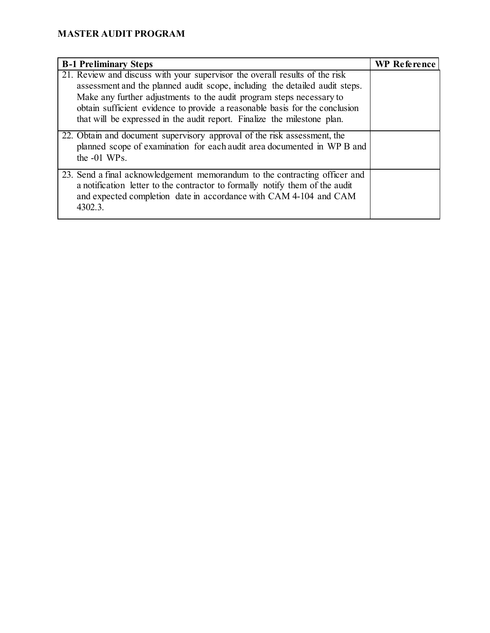| <b>B-1 Preliminary Steps</b>                                                                                                                                                                                                                                                                                                                                                                  | <b>WP Reference</b> |
|-----------------------------------------------------------------------------------------------------------------------------------------------------------------------------------------------------------------------------------------------------------------------------------------------------------------------------------------------------------------------------------------------|---------------------|
| 21. Review and discuss with your supervisor the overall results of the risk<br>assessment and the planned audit scope, including the detailed audit steps.<br>Make any further adjustments to the audit program steps necessary to<br>obtain sufficient evidence to provide a reasonable basis for the conclusion<br>that will be expressed in the audit report. Finalize the milestone plan. |                     |
| 22. Obtain and document supervisory approval of the risk assessment, the<br>planned scope of examination for each audit area documented in WP B and<br>the $-01$ WPs.                                                                                                                                                                                                                         |                     |
| 23. Send a final acknowledgement memorandum to the contracting officer and<br>a notification letter to the contractor to formally notify them of the audit<br>and expected completion date in accordance with CAM 4-104 and CAM<br>4302.3.                                                                                                                                                    |                     |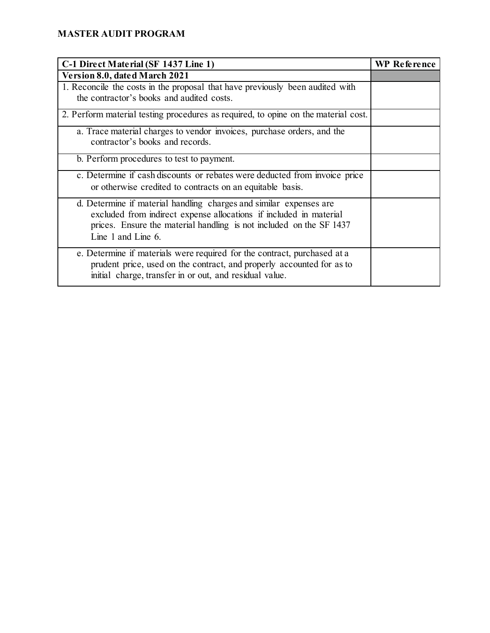| C-1 Direct Material (SF 1437 Line 1)                                                                                                                                                                                                  | <b>WP Reference</b> |
|---------------------------------------------------------------------------------------------------------------------------------------------------------------------------------------------------------------------------------------|---------------------|
| Version 8.0, dated March 2021                                                                                                                                                                                                         |                     |
| 1. Reconcile the costs in the proposal that have previously been audited with<br>the contractor's books and audited costs.                                                                                                            |                     |
| 2. Perform material testing procedures as required, to opine on the material cost.                                                                                                                                                    |                     |
| a. Trace material charges to vendor invoices, purchase orders, and the<br>contractor's books and records.                                                                                                                             |                     |
| b. Perform procedures to test to payment.                                                                                                                                                                                             |                     |
| c. Determine if cash discounts or rebates were deducted from invoice price<br>or otherwise credited to contracts on an equitable basis.                                                                                               |                     |
| d. Determine if material handling charges and similar expenses are<br>excluded from indirect expense allocations if included in material<br>prices. Ensure the material handling is not included on the SF 1437<br>Line 1 and Line 6. |                     |
| e. Determine if materials were required for the contract, purchased at a<br>prudent price, used on the contract, and properly accounted for as to<br>initial charge, transfer in or out, and residual value.                          |                     |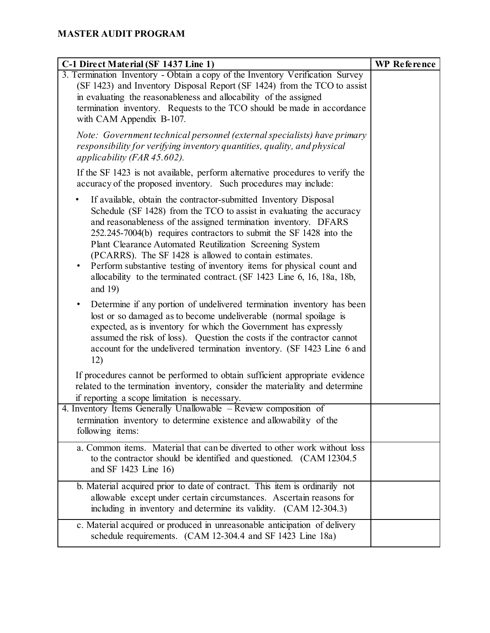| C-1 Direct Material (SF 1437 Line 1)                                                                                                                                                                                                                                                                                                                                                                                                                                                                                                                                                         | <b>WP</b> Reference |
|----------------------------------------------------------------------------------------------------------------------------------------------------------------------------------------------------------------------------------------------------------------------------------------------------------------------------------------------------------------------------------------------------------------------------------------------------------------------------------------------------------------------------------------------------------------------------------------------|---------------------|
| 3. Termination Inventory - Obtain a copy of the Inventory Verification Survey<br>(SF 1423) and Inventory Disposal Report (SF 1424) from the TCO to assist<br>in evaluating the reasonableness and allocability of the assigned<br>termination inventory. Requests to the TCO should be made in accordance<br>with CAM Appendix B-107.                                                                                                                                                                                                                                                        |                     |
| Note: Government technical personnel (external specialists) have primary<br>responsibility for verifying inventory quantities, quality, and physical<br>applicability (FAR $45.602$ ).                                                                                                                                                                                                                                                                                                                                                                                                       |                     |
| If the SF 1423 is not available, perform alternative procedures to verify the<br>accuracy of the proposed inventory. Such procedures may include:                                                                                                                                                                                                                                                                                                                                                                                                                                            |                     |
| If available, obtain the contractor-submitted Inventory Disposal<br>٠<br>Schedule (SF 1428) from the TCO to assist in evaluating the accuracy<br>and reasonableness of the assigned termination inventory. DFARS<br>252.245-7004(b) requires contractors to submit the SF 1428 into the<br>Plant Clearance Automated Reutilization Screening System<br>(PCARRS). The SF 1428 is allowed to contain estimates.<br>Perform substantive testing of inventory items for physical count and<br>$\bullet$<br>allocability to the terminated contract. (SF 1423 Line 6, 16, 18a, 18b,<br>and $19$ ) |                     |
| Determine if any portion of undelivered termination inventory has been<br>$\bullet$<br>lost or so damaged as to become undeliverable (normal spoilage is<br>expected, as is inventory for which the Government has expressly<br>assumed the risk of loss). Question the costs if the contractor cannot<br>account for the undelivered termination inventory. (SF 1423 Line 6 and<br>12)                                                                                                                                                                                                      |                     |
| If procedures cannot be performed to obtain sufficient appropriate evidence<br>related to the termination inventory, consider the materiality and determine<br>if reporting a scope limitation is necessary.                                                                                                                                                                                                                                                                                                                                                                                 |                     |
| 4. Inventory Items Generally Unallowable - Review composition of<br>termination inventory to determine existence and allowability of the<br>following items:                                                                                                                                                                                                                                                                                                                                                                                                                                 |                     |
| a. Common items. Material that can be diverted to other work without loss<br>to the contractor should be identified and questioned. (CAM 12304.5)<br>and SF 1423 Line 16)                                                                                                                                                                                                                                                                                                                                                                                                                    |                     |
| b. Material acquired prior to date of contract. This item is ordinarily not<br>allowable except under certain circumstances. Ascertain reasons for<br>including in inventory and determine its validity. (CAM 12-304.3)                                                                                                                                                                                                                                                                                                                                                                      |                     |
| c. Material acquired or produced in unreasonable anticipation of delivery<br>schedule requirements. (CAM 12-304.4 and SF 1423 Line 18a)                                                                                                                                                                                                                                                                                                                                                                                                                                                      |                     |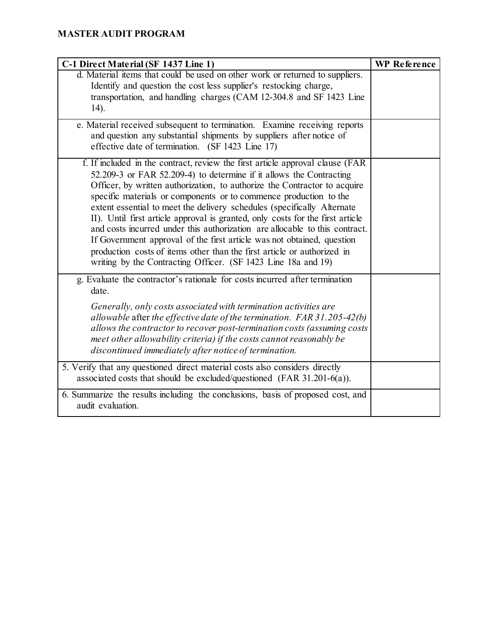| C-1 Direct Material (SF 1437 Line 1)                                                                                                                                                                                                                                                                                                                                                                                                                                                                                                                                                                                                                                                                                                                                     | <b>WP</b> Reference |
|--------------------------------------------------------------------------------------------------------------------------------------------------------------------------------------------------------------------------------------------------------------------------------------------------------------------------------------------------------------------------------------------------------------------------------------------------------------------------------------------------------------------------------------------------------------------------------------------------------------------------------------------------------------------------------------------------------------------------------------------------------------------------|---------------------|
| d. Material items that could be used on other work or returned to suppliers.<br>Identify and question the cost less supplier's restocking charge,<br>transportation, and handling charges (CAM 12-304.8 and SF 1423 Line<br>14).                                                                                                                                                                                                                                                                                                                                                                                                                                                                                                                                         |                     |
| e. Material received subsequent to termination. Examine receiving reports<br>and question any substantial shipments by suppliers after notice of<br>effective date of termination. (SF 1423 Line 17)                                                                                                                                                                                                                                                                                                                                                                                                                                                                                                                                                                     |                     |
| f. If included in the contract, review the first article approval clause (FAR<br>52.209-3 or FAR 52.209-4) to determine if it allows the Contracting<br>Officer, by written authorization, to authorize the Contractor to acquire<br>specific materials or components or to commence production to the<br>extent essential to meet the delivery schedules (specifically Alternate<br>II). Until first article approval is granted, only costs for the first article<br>and costs incurred under this authorization are allocable to this contract.<br>If Government approval of the first article was not obtained, question<br>production costs of items other than the first article or authorized in<br>writing by the Contracting Officer. (SF 1423 Line 18a and 19) |                     |
| g. Evaluate the contractor's rationale for costs incurred after termination<br>date.<br>Generally, only costs associated with termination activities are<br>allowable after the effective date of the termination. $FAR 31.205-42(b)$<br>allows the contractor to recover post-termination costs (assuming costs<br>meet other allowability criteria) if the costs cannot reasonably be<br>discontinued immediately after notice of termination.                                                                                                                                                                                                                                                                                                                         |                     |
| 5. Verify that any questioned direct material costs also considers directly<br>associated costs that should be excluded/questioned (FAR 31.201-6(a)).                                                                                                                                                                                                                                                                                                                                                                                                                                                                                                                                                                                                                    |                     |
| 6. Summarize the results including the conclusions, basis of proposed cost, and<br>audit evaluation.                                                                                                                                                                                                                                                                                                                                                                                                                                                                                                                                                                                                                                                                     |                     |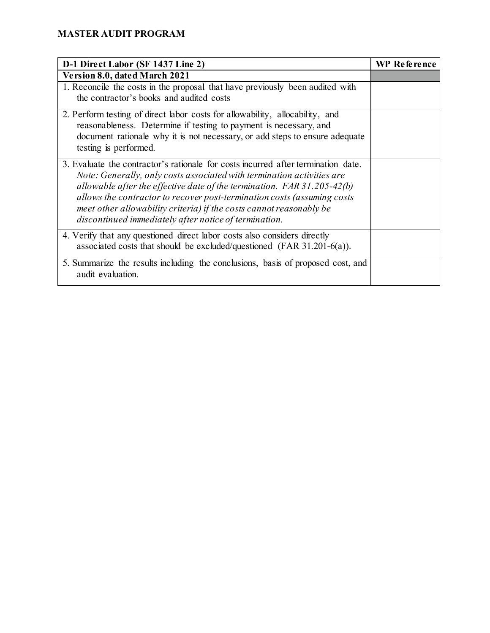| D-1 Direct Labor (SF 1437 Line 2)                                                                                                                                                                                                                                                                                                                                                                                                                   | <b>WP Reference</b> |
|-----------------------------------------------------------------------------------------------------------------------------------------------------------------------------------------------------------------------------------------------------------------------------------------------------------------------------------------------------------------------------------------------------------------------------------------------------|---------------------|
| Version 8.0, dated March 2021                                                                                                                                                                                                                                                                                                                                                                                                                       |                     |
| 1. Reconcile the costs in the proposal that have previously been audited with<br>the contractor's books and audited costs                                                                                                                                                                                                                                                                                                                           |                     |
| 2. Perform testing of direct labor costs for allowability, allocability, and<br>reasonableness. Determine if testing to payment is necessary, and<br>document rationale why it is not necessary, or add steps to ensure adequate<br>testing is performed.                                                                                                                                                                                           |                     |
| 3. Evaluate the contractor's rationale for costs incurred after termination date.<br>Note: Generally, only costs associated with termination activities are<br>allowable after the effective date of the termination. $FAR 31.205-42(b)$<br>allows the contractor to recover post-termination costs (assuming costs<br>meet other allowability criteria) if the costs cannot reasonably be<br>discontinued immediately after notice of termination. |                     |
| 4. Verify that any questioned direct labor costs also considers directly<br>associated costs that should be excluded/questioned (FAR $31.201-6(a)$ ).                                                                                                                                                                                                                                                                                               |                     |
| 5. Summarize the results including the conclusions, basis of proposed cost, and<br>audit evaluation.                                                                                                                                                                                                                                                                                                                                                |                     |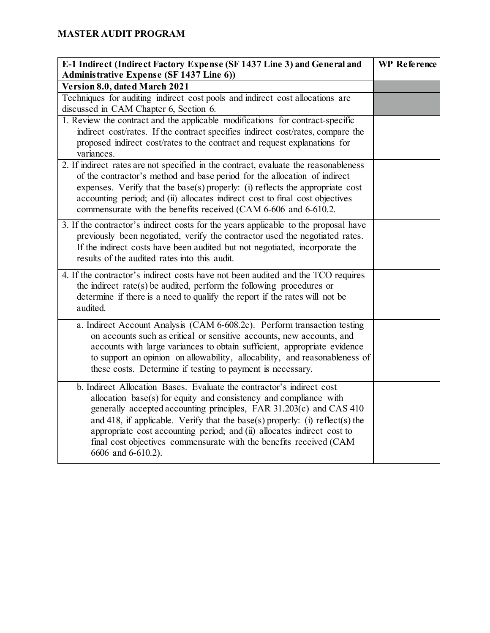| E-1 Indirect (Indirect Factory Expense (SF 1437 Line 3) and General and<br><b>Administrative Expense (SF 1437 Line 6))</b>                                                                                                                                                                                                                                                                                                                                                 | <b>WP</b> Reference |
|----------------------------------------------------------------------------------------------------------------------------------------------------------------------------------------------------------------------------------------------------------------------------------------------------------------------------------------------------------------------------------------------------------------------------------------------------------------------------|---------------------|
| Version 8.0, dated March 2021                                                                                                                                                                                                                                                                                                                                                                                                                                              |                     |
| Techniques for auditing indirect cost pools and indirect cost allocations are<br>discussed in CAM Chapter 6, Section 6.                                                                                                                                                                                                                                                                                                                                                    |                     |
| 1. Review the contract and the applicable modifications for contract-specific<br>indirect cost/rates. If the contract specifies indirect cost/rates, compare the<br>proposed indirect cost/rates to the contract and request explanations for<br>variances.                                                                                                                                                                                                                |                     |
| 2. If indirect rates are not specified in the contract, evaluate the reasonableness<br>of the contractor's method and base period for the allocation of indirect<br>expenses. Verify that the base(s) properly: (i) reflects the appropriate cost<br>accounting period; and (ii) allocates indirect cost to final cost objectives<br>commensurate with the benefits received (CAM 6-606 and 6-610.2.                                                                       |                     |
| 3. If the contractor's indirect costs for the years applicable to the proposal have<br>previously been negotiated, verify the contractor used the negotiated rates.<br>If the indirect costs have been audited but not negotiated, incorporate the<br>results of the audited rates into this audit.                                                                                                                                                                        |                     |
| 4. If the contractor's indirect costs have not been audited and the TCO requires<br>the indirect rate(s) be audited, perform the following procedures or<br>determine if there is a need to qualify the report if the rates will not be<br>audited.                                                                                                                                                                                                                        |                     |
| a. Indirect Account Analysis (CAM 6-608.2c). Perform transaction testing<br>on accounts such as critical or sensitive accounts, new accounts, and<br>accounts with large variances to obtain sufficient, appropriate evidence<br>to support an opinion on allowability, allocability, and reasonableness of<br>these costs. Determine if testing to payment is necessary.                                                                                                  |                     |
| b. Indirect Allocation Bases. Evaluate the contractor's indirect cost<br>allocation $base(s)$ for equity and consistency and compliance with<br>generally accepted accounting principles, FAR 31.203(c) and CAS 410<br>and 418, if applicable. Verify that the base(s) properly: (i) reflect(s) the<br>appropriate cost accounting period; and (ii) allocates indirect cost to<br>final cost objectives commensurate with the benefits received (CAM<br>6606 and 6-610.2). |                     |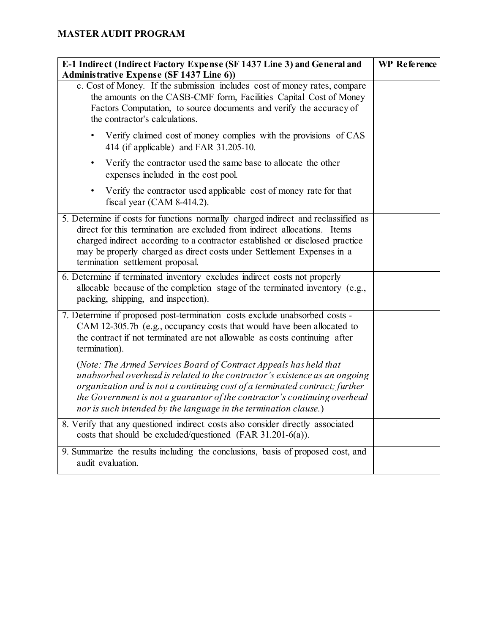| E-1 Indirect (Indirect Factory Expense (SF 1437 Line 3) and General and<br><b>Administrative Expense (SF 1437 Line 6))</b>                                                                                                                                                                                                                                                      | <b>WP</b> Reference |
|---------------------------------------------------------------------------------------------------------------------------------------------------------------------------------------------------------------------------------------------------------------------------------------------------------------------------------------------------------------------------------|---------------------|
| c. Cost of Money. If the submission includes cost of money rates, compare<br>the amounts on the CASB-CMF form, Facilities Capital Cost of Money<br>Factors Computation, to source documents and verify the accuracy of<br>the contractor's calculations.                                                                                                                        |                     |
| Verify claimed cost of money complies with the provisions of CAS<br>414 (if applicable) and FAR 31.205-10.                                                                                                                                                                                                                                                                      |                     |
| Verify the contractor used the same base to allocate the other<br>$\bullet$<br>expenses included in the cost pool.                                                                                                                                                                                                                                                              |                     |
| Verify the contractor used applicable cost of money rate for that<br>fiscal year (CAM $8-414.2$ ).                                                                                                                                                                                                                                                                              |                     |
| 5. Determine if costs for functions normally charged indirect and reclassified as<br>direct for this termination are excluded from indirect allocations. Items<br>charged indirect according to a contractor established or disclosed practice<br>may be properly charged as direct costs under Settlement Expenses in a<br>termination settlement proposal.                    |                     |
| 6. Determine if terminated inventory excludes indirect costs not properly<br>allocable because of the completion stage of the terminated inventory (e.g.,<br>packing, shipping, and inspection).                                                                                                                                                                                |                     |
| 7. Determine if proposed post-termination costs exclude unabsorbed costs -<br>CAM 12-305.7b (e.g., occupancy costs that would have been allocated to<br>the contract if not terminated are not allowable as costs continuing after<br>termination).                                                                                                                             |                     |
| (Note: The Armed Services Board of Contract Appeals has held that<br>unabsorbed overhead is related to the contractor's existence as an ongoing<br>organization and is not a continuing cost of a terminated contract; further<br>the Government is not a guarantor of the contractor's continuing overhead<br>nor is such intended by the language in the termination clause.) |                     |
| 8. Verify that any questioned indirect costs also consider directly associated<br>costs that should be excluded/questioned (FAR 31.201-6(a)).                                                                                                                                                                                                                                   |                     |
| 9. Summarize the results including the conclusions, basis of proposed cost, and<br>audit evaluation.                                                                                                                                                                                                                                                                            |                     |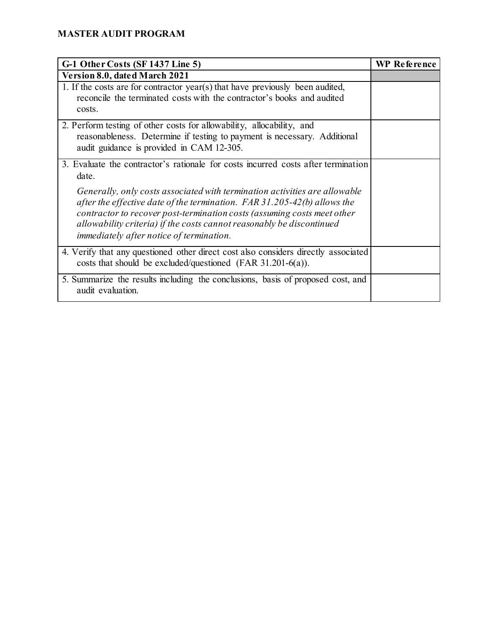| G-1 Other Costs (SF 1437 Line 5)                                                                                                                                                                                                                                                                                                                         | <b>WP</b> Reference |
|----------------------------------------------------------------------------------------------------------------------------------------------------------------------------------------------------------------------------------------------------------------------------------------------------------------------------------------------------------|---------------------|
| <b>Version 8.0, dated March 2021</b>                                                                                                                                                                                                                                                                                                                     |                     |
| 1. If the costs are for contractor year(s) that have previously been audited,<br>reconcile the terminated costs with the contractor's books and audited<br>costs.                                                                                                                                                                                        |                     |
| 2. Perform testing of other costs for allowability, allocability, and<br>reasonableness. Determine if testing to payment is necessary. Additional<br>audit guidance is provided in CAM 12-305.                                                                                                                                                           |                     |
| 3. Evaluate the contractor's rationale for costs incurred costs after termination<br>date.                                                                                                                                                                                                                                                               |                     |
| Generally, only costs associated with termination activities are allowable<br>after the effective date of the termination. $FAR 31.205-42(b)$ allows the<br>contractor to recover post-termination costs (assuming costs meet other<br>allowability criteria) if the costs cannot reasonably be discontinued<br>immediately after notice of termination. |                     |
| 4. Verify that any questioned other direct cost also considers directly associated<br>costs that should be excluded/questioned (FAR $31.201-6(a)$ ).                                                                                                                                                                                                     |                     |
| 5. Summarize the results including the conclusions, basis of proposed cost, and<br>audit evaluation.                                                                                                                                                                                                                                                     |                     |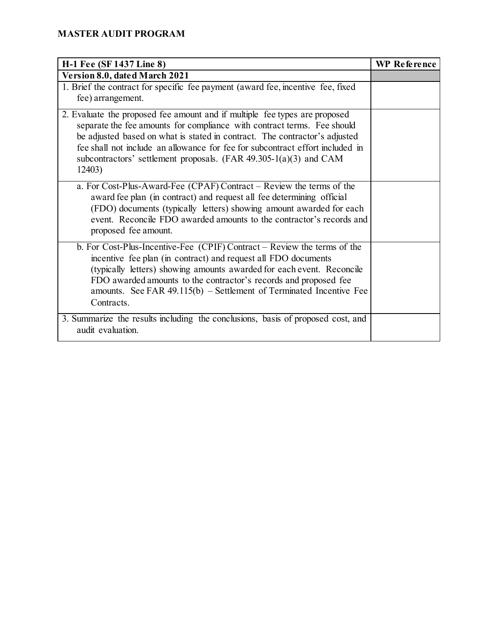| H-1 Fee (SF 1437 Line 8)                                                                                                                                                                                                                                                                                                                                                                              | <b>WP</b> Reference |
|-------------------------------------------------------------------------------------------------------------------------------------------------------------------------------------------------------------------------------------------------------------------------------------------------------------------------------------------------------------------------------------------------------|---------------------|
| Version 8.0, dated March 2021                                                                                                                                                                                                                                                                                                                                                                         |                     |
| 1. Brief the contract for specific fee payment (award fee, incentive fee, fixed<br>fee) arrangement.                                                                                                                                                                                                                                                                                                  |                     |
| 2. Evaluate the proposed fee amount and if multiple fee types are proposed<br>separate the fee amounts for compliance with contract terms. Fee should<br>be adjusted based on what is stated in contract. The contractor's adjusted<br>fee shall not include an allowance for fee for subcontract effort included in<br>subcontractors' settlement proposals. $(FAR 49.305-1(a)(3)$ and CAM<br>12403) |                     |
| a. For Cost-Plus-Award-Fee (CPAF) Contract – Review the terms of the<br>award fee plan (in contract) and request all fee determining official<br>(FDO) documents (typically letters) showing amount awarded for each<br>event. Reconcile FDO awarded amounts to the contractor's records and<br>proposed fee amount.                                                                                  |                     |
| b. For Cost-Plus-Incentive-Fee (CPIF) Contract – Review the terms of the<br>incentive fee plan (in contract) and request all FDO documents<br>(typically letters) showing amounts awarded for each event. Reconcile<br>FDO awarded amounts to the contractor's records and proposed fee<br>amounts. See FAR $49.115(b)$ – Settlement of Terminated Incentive Fee<br>Contracts.                        |                     |
| 3. Summarize the results including the conclusions, basis of proposed cost, and<br>audit evaluation.                                                                                                                                                                                                                                                                                                  |                     |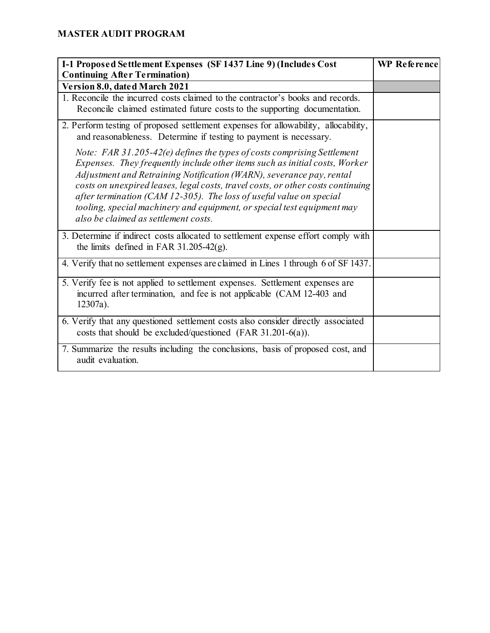| I-1 Proposed Settlement Expenses (SF 1437 Line 9) (Includes Cost<br><b>Continuing After Termination)</b>                                                                                                                                                                                                                                                                                                                                                                                                    | <b>WP</b> Reference |
|-------------------------------------------------------------------------------------------------------------------------------------------------------------------------------------------------------------------------------------------------------------------------------------------------------------------------------------------------------------------------------------------------------------------------------------------------------------------------------------------------------------|---------------------|
| Version 8.0, dated March 2021                                                                                                                                                                                                                                                                                                                                                                                                                                                                               |                     |
| 1. Reconcile the incurred costs claimed to the contractor's books and records.<br>Reconcile claimed estimated future costs to the supporting documentation.                                                                                                                                                                                                                                                                                                                                                 |                     |
| 2. Perform testing of proposed settlement expenses for allowability, allocability,<br>and reasonableness. Determine if testing to payment is necessary.                                                                                                                                                                                                                                                                                                                                                     |                     |
| Note: FAR 31.205-42(e) defines the types of costs comprising Settlement<br>Expenses. They frequently include other items such as initial costs, Worker<br>Adjustment and Retraining Notification (WARN), severance pay, rental<br>costs on unexpired leases, legal costs, travel costs, or other costs continuing<br>after termination (CAM 12-305). The loss of useful value on special<br>tooling, special machinery and equipment, or special test equipment may<br>also be claimed as settlement costs. |                     |
| 3. Determine if indirect costs allocated to settlement expense effort comply with<br>the limits defined in FAR $31.205-42(g)$ .                                                                                                                                                                                                                                                                                                                                                                             |                     |
| 4. Verify that no settlement expenses are claimed in Lines 1 through 6 of SF 1437.                                                                                                                                                                                                                                                                                                                                                                                                                          |                     |
| 5. Verify fee is not applied to settlement expenses. Settlement expenses are<br>incurred after termination, and fee is not applicable (CAM 12-403 and<br>12307a).                                                                                                                                                                                                                                                                                                                                           |                     |
| 6. Verify that any questioned settlement costs also consider directly associated<br>costs that should be excluded/questioned (FAR $31.201-6(a)$ ).                                                                                                                                                                                                                                                                                                                                                          |                     |
| 7. Summarize the results including the conclusions, basis of proposed cost, and<br>audit evaluation.                                                                                                                                                                                                                                                                                                                                                                                                        |                     |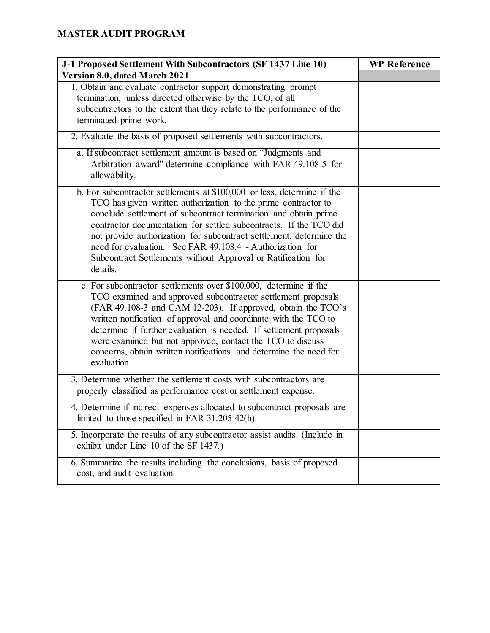| J-1 Proposed Settlement With Subcontractors (SF 1437 Line 10)                                                                                                                                                                                                                                                                                                                                                                                                                                      | <b>WP</b> Reference |
|----------------------------------------------------------------------------------------------------------------------------------------------------------------------------------------------------------------------------------------------------------------------------------------------------------------------------------------------------------------------------------------------------------------------------------------------------------------------------------------------------|---------------------|
| Version 8.0, dated March 2021                                                                                                                                                                                                                                                                                                                                                                                                                                                                      |                     |
| 1. Obtain and evaluate contractor support demonstrating prompt<br>termination, unless directed otherwise by the TCO, of all<br>subcontractors to the extent that they relate to the performance of the<br>terminated prime work.                                                                                                                                                                                                                                                                   |                     |
| 2. Evaluate the basis of proposed settlements with subcontractors.                                                                                                                                                                                                                                                                                                                                                                                                                                 |                     |
| a. If subcontract settlement amount is based on "Judgments and<br>Arbitration award" determine compliance with FAR 49.108-5 for<br>allowability.                                                                                                                                                                                                                                                                                                                                                   |                     |
| b. For subcontractor settlements at $$100,000$ or less, determine if the<br>TCO has given written authorization to the prime contractor to<br>conclude settlement of subcontract termination and obtain prime<br>contractor documentation for settled subcontracts. If the TCO did<br>not provide authorization for subcontract settlement, determine the<br>need for evaluation. See FAR 49.108.4 - Authorization for<br>Subcontract Settlements without Approval or Ratification for<br>details. |                     |
| c. For subcontractor settlements over \$100,000, determine if the<br>TCO examined and approved subcontractor settlement proposals<br>(FAR 49.108-3 and CAM 12-203). If approved, obtain the TCO's<br>written notification of approval and coordinate with the TCO to<br>determine if further evaluation is needed. If settlement proposals<br>were examined but not approved, contact the TCO to discuss<br>concerns, obtain written notifications and determine the need for<br>evaluation.       |                     |
| 3. Determine whether the settlement costs with subcontractors are<br>properly classified as performance cost or settlement expense.                                                                                                                                                                                                                                                                                                                                                                |                     |
| 4. Determine if indirect expenses allocated to subcontract proposals are<br>limited to those specified in FAR 31.205-42(h).                                                                                                                                                                                                                                                                                                                                                                        |                     |
| 5. Incorporate the results of any subcontractor assist audits. (Include in<br>exhibit under Line 10 of the SF 1437.)                                                                                                                                                                                                                                                                                                                                                                               |                     |
| 6. Summarize the results including the conclusions, basis of proposed<br>cost, and audit evaluation.                                                                                                                                                                                                                                                                                                                                                                                               |                     |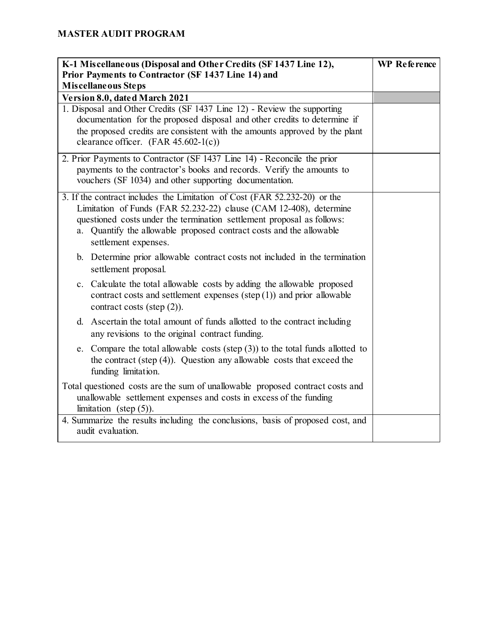| K-1 Miscellaneous (Disposal and Other Credits (SF 1437 Line 12),                                                                                                                                                                                                                                                         | <b>WP</b> Reference |
|--------------------------------------------------------------------------------------------------------------------------------------------------------------------------------------------------------------------------------------------------------------------------------------------------------------------------|---------------------|
| Prior Payments to Contractor (SF 1437 Line 14) and<br>Miscellaneous Steps                                                                                                                                                                                                                                                |                     |
| Version 8.0, dated March 2021                                                                                                                                                                                                                                                                                            |                     |
| 1. Disposal and Other Credits (SF 1437 Line 12) - Review the supporting<br>documentation for the proposed disposal and other credits to determine if<br>the proposed credits are consistent with the amounts approved by the plant<br>clearance officer. $(FAR 45.602-1(c))$                                             |                     |
| 2. Prior Payments to Contractor (SF 1437 Line 14) - Reconcile the prior<br>payments to the contractor's books and records. Verify the amounts to<br>vouchers (SF 1034) and other supporting documentation.                                                                                                               |                     |
| 3. If the contract includes the Limitation of Cost (FAR 52.232-20) or the<br>Limitation of Funds (FAR 52.232-22) clause (CAM 12-408), determine<br>questioned costs under the termination settlement proposal as follows:<br>a. Quantify the allowable proposed contract costs and the allowable<br>settlement expenses. |                     |
| b. Determine prior allowable contract costs not included in the termination<br>settlement proposal.                                                                                                                                                                                                                      |                     |
| c. Calculate the total allowable costs by adding the allowable proposed<br>contract costs and settlement expenses (step $(1)$ ) and prior allowable<br>contract costs (step $(2)$ ).                                                                                                                                     |                     |
| d. Ascertain the total amount of funds allotted to the contract including<br>any revisions to the original contract funding.                                                                                                                                                                                             |                     |
| e. Compare the total allowable costs (step $(3)$ ) to the total funds allotted to<br>the contract (step $(4)$ ). Question any allowable costs that exceed the<br>funding limitation.                                                                                                                                     |                     |
| Total questioned costs are the sum of unallowable proposed contract costs and<br>unallowable settlement expenses and costs in excess of the funding<br>limitation (step $(5)$ ).                                                                                                                                         |                     |
| 4. Summarize the results including the conclusions, basis of proposed cost, and<br>audit evaluation.                                                                                                                                                                                                                     |                     |